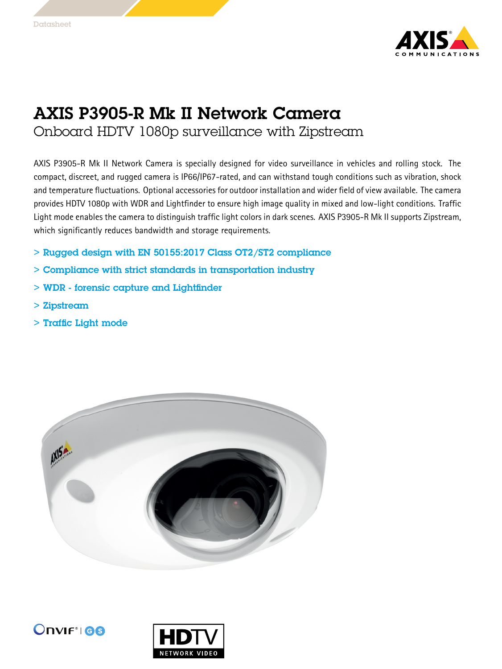

## AXIS P3905-R Mk II Network Camera Onboard HDTV 1080p surveillance with Zipstream

AXIS P3905-R Mk II Network Camera is specially designed for video surveillance in vehicles and rolling stock. The compact, discreet, and rugged camera is IP66/IP67-rated, and can withstand tough conditions such as vibration, shock and temperature fluctuations. Optional accessories for outdoor installation and wider field of view available. The camera provides HDTV 1080p with WDR and Lightfinder to ensure high image quality in mixed and low-light conditions. Traffic Light mode enables the camera to distinguish traffic light colors in dark scenes. AXIS P3905-R Mk II supports Zipstream, which significantly reduces bandwidth and storage requirements.

- > Rugged design with EN 50155:2017 Class OT2/ST2 compliance
- > Compliance with strict standards in transportation industry
- > WDR forensic capture and Lightfinder
- > Zipstream
- > Traffic Light mode